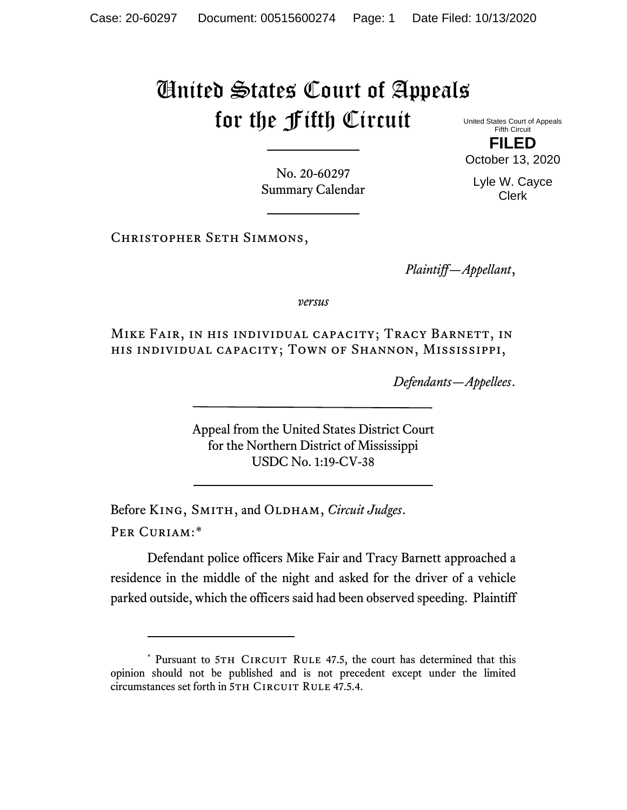## United States Court of Appeals for the Fifth Circuit

United States Court of Appeals Fifth Circuit **FILED**

October 13, 2020

Lyle W. Cayce Clerk

No. 20-60297 Summary Calendar

Christopher Seth Simmons,

*Plaintiff—Appellant*,

*versus*

Mike Fair, in his individual capacity; Tracy Barnett, in his individual capacity; Town of Shannon, Mississippi,

*Defendants—Appellees*.

Appeal from the United States District Court for the Northern District of Mississippi USDC No. 1:19-CV-38

Before KING, SMITH, and OLDHAM, *Circuit Judges*. Per Curiam:[\\*](#page-0-0)

Defendant police officers Mike Fair and Tracy Barnett approached a residence in the middle of the night and asked for the driver of a vehicle parked outside, which the officers said had been observed speeding. Plaintiff

<span id="page-0-0"></span><sup>\*</sup> Pursuant to 5TH CIRCUIT RULE 47.5, the court has determined that this opinion should not be published and is not precedent except under the limited circumstances set forth in 5TH CIRCUIT RULE 47.5.4.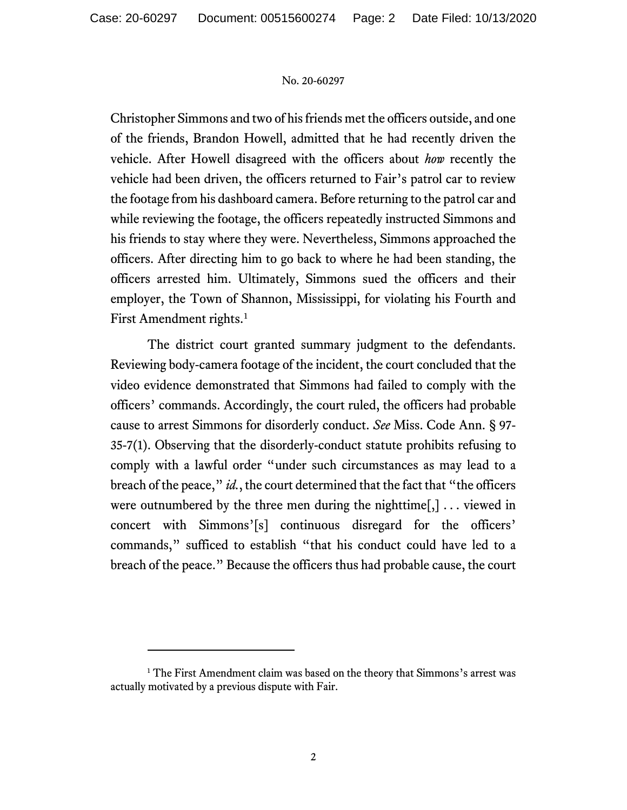## No. 20-60297

Christopher Simmons and two of his friends met the officers outside, and one of the friends, Brandon Howell, admitted that he had recently driven the vehicle. After Howell disagreed with the officers about *how* recently the vehicle had been driven, the officers returned to Fair's patrol car to review the footage from his dashboard camera. Before returning to the patrol car and while reviewing the footage, the officers repeatedly instructed Simmons and his friends to stay where they were. Nevertheless, Simmons approached the officers. After directing him to go back to where he had been standing, the officers arrested him. Ultimately, Simmons sued the officers and their employer, the Town of Shannon, Mississippi, for violating his Fourth and First Amendment rights.<sup>[1](#page-1-0)</sup>

The district court granted summary judgment to the defendants. Reviewing body-camera footage of the incident, the court concluded that the video evidence demonstrated that Simmons had failed to comply with the officers' commands. Accordingly, the court ruled, the officers had probable cause to arrest Simmons for disorderly conduct. *See* Miss. Code Ann. § 97- 35-7(1). Observing that the disorderly-conduct statute prohibits refusing to comply with a lawful order "under such circumstances as may lead to a breach of the peace," *id.*, the court determined that the fact that "the officers were outnumbered by the three men during the nighttime $[,] \ldots$  viewed in concert with Simmons'[s] continuous disregard for the officers' commands," sufficed to establish "that his conduct could have led to a breach of the peace." Because the officers thus had probable cause, the court

<span id="page-1-0"></span><sup>&</sup>lt;sup>1</sup> The First Amendment claim was based on the theory that Simmons's arrest was actually motivated by a previous dispute with Fair.